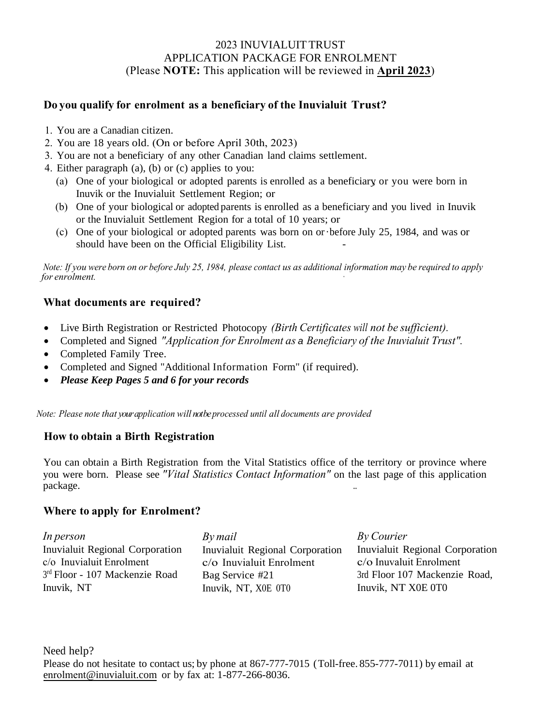#### 2023 INUVIALUIT TRUST APPLICATION PACKAGE FOR ENROLMENT (Please **NOTE:** This application will be reviewed in **April 2023**)

## **Do you qualify for enrolment as a beneficiary of the Inuvialuit Trust?**

- 1. You are a Canadian citizen.
- 2. You are 18 years old. (On or before April 30th, 2023)
- 3. You are not a beneficiary of any other Canadian land claims settlement.
- 4. Either paragraph (a), (b) or (c) applies to you:
	- (a) One of your biological or adopted parents is enrolled as a beneficiary, or you were born in Inuvik or the Inuvialuit Settlement Region; or
	- (b) One of your biological or adopted parents is enrolled as a beneficiary and you lived in Inuvik or the Inuvialuit Settlement Region for a total of 10 years; or
	- (c) One of your biological or adopted parents was born on or ·before July 25, 1984, and was or should have been on the Official Eligibility List. -

*Note: If you were born on or before July 25, 1984, please contact us as additional information may be required to apply*  for enrolment.

## **What documents are required?**

- Live Birth Registration or Restricted Photocopy *(Birth Certificates will not be sufficient).*
- Completed and Signed *"Application for Enrolment as a Beneficiary of the Inuvialuit Trust".*
- Completed Family Tree.
- Completed and Signed "Additional Information Form" (if required).
- *Please Keep Pages 5 and 6 for your records*

*Note: Please note that your application will not beprocessed until all documents are provided* 

## **How to obtain a Birth Registration**

You can obtain a Birth Registration from the Vital Statistics office of the territory or province where you were born. Please see *"Vital Statistics Contact Information"* on the last page of this application package.

## **Where to apply for Enrolment?**

| In person                        | By mail                         | By Courier                      |
|----------------------------------|---------------------------------|---------------------------------|
| Inuvialuit Regional Corporation  | Inuvialuit Regional Corporation | Inuvialuit Regional Corporation |
| $c/\sigma$ Inuvialuit Enrolment  | $c$ / $o$ Inuvialuit Enrolment  | $c$ / $o$ Inuvaluit Enrolment   |
| $3rd$ Floor - 107 Mackenzie Road | Bag Service #21                 | 3rd Floor 107 Mackenzie Road,   |
| Inuvik, NT                       | Inuvik, NT, X0E 0T0             | Inuvik, NT X0E 0T0              |

Need help? Please do not hesitate to contact us; by phone at 867-777-7015 (Toll-free. 855-777-7011) by email at enrolment[@inuvialuit.co](mailto:earey@inuvialuit.com)m or by fax at: 1-877-266-8036.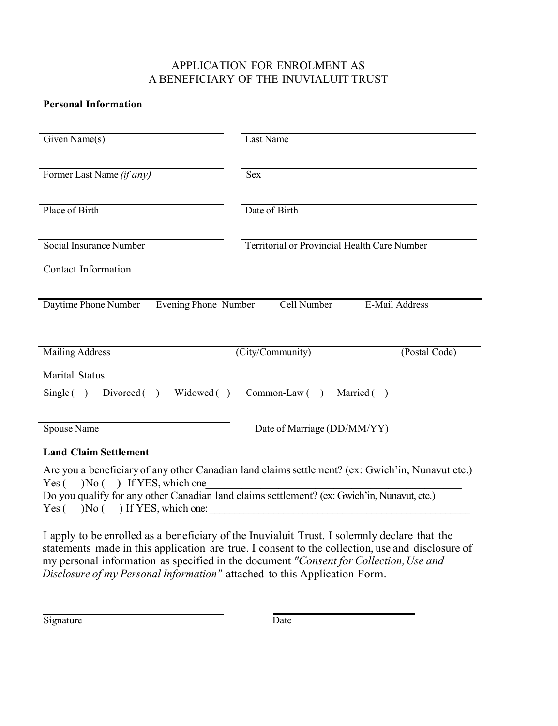# APPLICATION FOR ENROLMENT AS A BENEFICIARY OF THE INUVIALUIT TRUST

## **Personal Information**

| Given Name(s)                                | Last Name                                    |
|----------------------------------------------|----------------------------------------------|
| Former Last Name (if any)                    | <b>Sex</b>                                   |
| Place of Birth                               | Date of Birth                                |
| Social Insurance Number                      | Territorial or Provincial Health Care Number |
| <b>Contact Information</b>                   |                                              |
| Daytime Phone Number<br>Evening Phone Number | Cell Number<br>E-Mail Address                |
| <b>Mailing Address</b>                       | (Postal Code)<br>(City/Community)            |
| <b>Marital Status</b>                        |                                              |
| Widowed ()<br>$Divored$ ()<br>Single()       | $Common-Law$ ( )<br>Married ()               |
| Spouse Name                                  | Date of Marriage (DD/MM/YY)                  |
| <b>Land Claim Settlement</b>                 |                                              |

Are you a beneficiary of any other Canadian land claimssettlement? (ex: Gwich'in, Nunavut etc.) Yes ( ) No ( ) If YES, which one\_\_\_\_\_\_\_\_\_\_\_\_\_\_ Do you qualify for any other Canadian land claims settlement? (ex: Gwich'in, Nunavut, etc.)  $Yes ( ) No ( ) If YES, which one:$ 

I apply to be enrolled as a beneficiary of the Inuvialuit Trust. I solemnly declare that the statements made in this application are true. I consent to the collection, use and disclosure of my personal information as specified in the document *"Consent for Collection,Use and Disclosure of my Personal Information"* attached to this Application Form.

Signature Date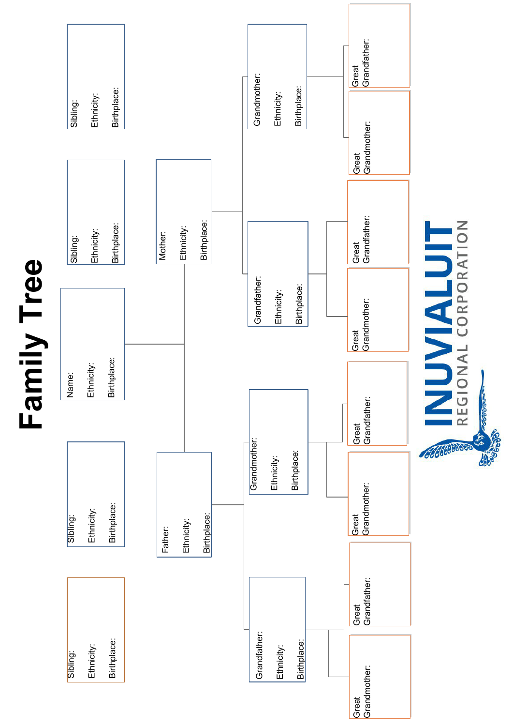



INUVIALUIT 00000000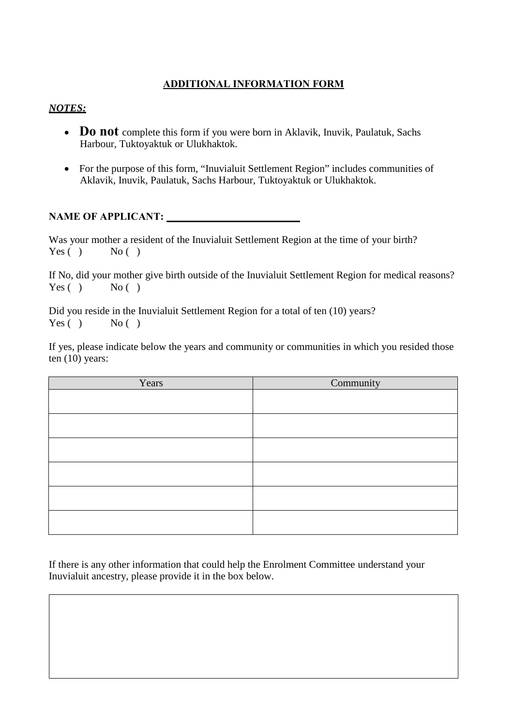# **ADDITIONAL INFORMATION FORM**

## *NOTES:*

- **Do not** complete this form if you were born in Aklavik, Inuvik, Paulatuk, Sachs Harbour, Tuktoyaktuk or Ulukhaktok.
- For the purpose of this form, "Inuvialuit Settlement Region" includes communities of Aklavik, Inuvik, Paulatuk, Sachs Harbour, Tuktoyaktuk or Ulukhaktok.

## **NAME OF APPLICANT:**

Was your mother a resident of the Inuvialuit Settlement Region at the time of your birth?<br>Yes  $( )$  No  $( )$ Yes  $( )$ 

If No, did your mother give birth outside of the Inuvialuit Settlement Region for medical reasons?  $Yes() No()$ 

Did you reside in the Inuvialuit Settlement Region for a total of ten (10) years?  $Yes() No()$ 

If yes, please indicate below the years and community or communities in which you resided those ten (10) years:

| Years | Community |
|-------|-----------|
|       |           |
|       |           |
|       |           |
|       |           |
|       |           |
|       |           |
|       |           |

If there is any other information that could help the Enrolment Committee understand your Inuvialuit ancestry, please provide it in the box below.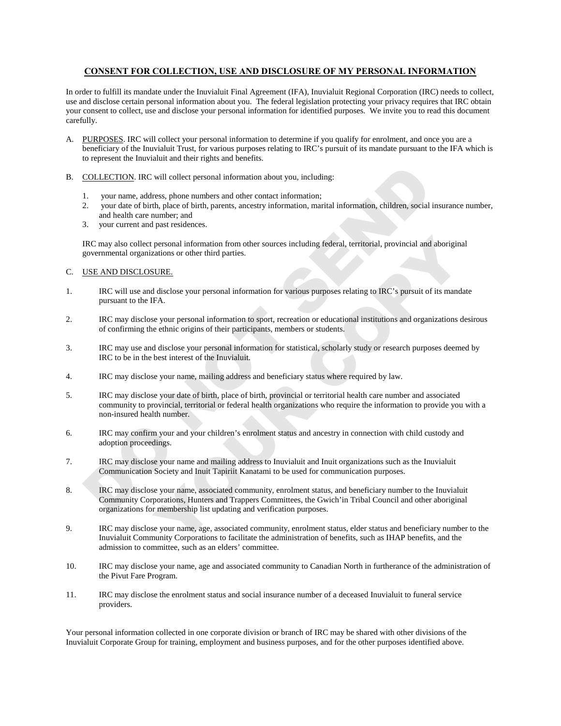#### **CONSENT FOR COLLECTION, USE AND DISCLOSURE OF MY PERSONAL INFORMATION**

In order to fulfill its mandate under the Inuvialuit Final Agreement (IFA), Inuvialuit Regional Corporation (IRC) needs to collect, use and disclose certain personal information about you. The federal legislation protecting your privacy requires that IRC obtain your consent to collect, use and disclose your personal information for identified purposes. We invite you to read this document carefully.

- A. PURPOSES. IRC will collect your personal information to determine if you qualify for enrolment, and once you are a beneficiary of the Inuvialuit Trust, for various purposes relating to IRC's pursuit of its mandate pursuant to the IFA which is to represent the Inuvialuit and their rights and benefits.
- B. COLLECTION. IRC will collect personal information about you, including:
	- your name, address, phone numbers and other contact information;
	- 2. your date of birth, place of birth, parents, ancestry information, marital information, children, social insurance number, and health care number; and
	- 3. your current and past residences.

IRC may also collect personal information from other sources including federal, territorial, provincial and aboriginal governmental organizations or other third parties.

#### C. USE AND DISCLOSURE.

- 1. IRC will use and disclose your personal information for various purposes relating to IRC's pursuit of its mandate pursuant to the IFA.
- 2. IRC may disclose your personal information to sport, recreation or educational institutions and organizations desirous of confirming the ethnic origins of their participants, members or students.
- 3. IRC may use and disclose your personal information for statistical, scholarly study or research purposes deemed by IRC to be in the best interest of the Inuvialuit.
- 4. IRC may disclose your name, mailing address and beneficiary status where required by law.
- COLLECTION: IRC will collect personal information about you, including:<br>
1. your name, address, phone numbers and other contact information;<br>
2. your cate of bith, place of bith, parents, ancestry information, marital info personal information from other sources including federal, territorial, provincial and aboriginal<br>zations or other third parties.<br>EURE:<br>EURE:<br>EVERE:<br>SURE:<br>SURE:<br>SURE:<br>SURE:<br>SURE:<br>FA. se your personal information for variou 5. IRC may disclose your date of birth, place of birth, provincial or territorial health care number and associated community to provincial, territorial or federal health organizations who require the information to provide you with a non-insured health number.
- 6. IRC may confirm your and your children's enrolment status and ancestry in connection with child custody and adoption proceedings.
- 7. IRC may disclose your name and mailing address to Inuvialuit and Inuit organizations such as the Inuvialuit Communication Society and Inuit Tapiriit Kanatami to be used for communication purposes.
- 8. IRC may disclose your name, associated community, enrolment status, and beneficiary number to the Inuvialuit Community Corporations, Hunters and Trappers Committees, the Gwich'in Tribal Council and other aboriginal organizations for membership list updating and verification purposes.
- 9. IRC may disclose your name, age, associated community, enrolment status, elder status and beneficiary number to the Inuvialuit Community Corporations to facilitate the administration of benefits, such as IHAP benefits, and the admission to committee, such as an elders' committee.
- 10. IRC may disclose your name, age and associated community to Canadian North in furtherance of the administration of the Pivut Fare Program.
- 11. IRC may disclose the enrolment status and social insurance number of a deceased Inuvialuit to funeral service providers.

Your personal information collected in one corporate division or branch of IRC may be shared with other divisions of the Inuvialuit Corporate Group for training, employment and business purposes, and for the other purposes identified above.